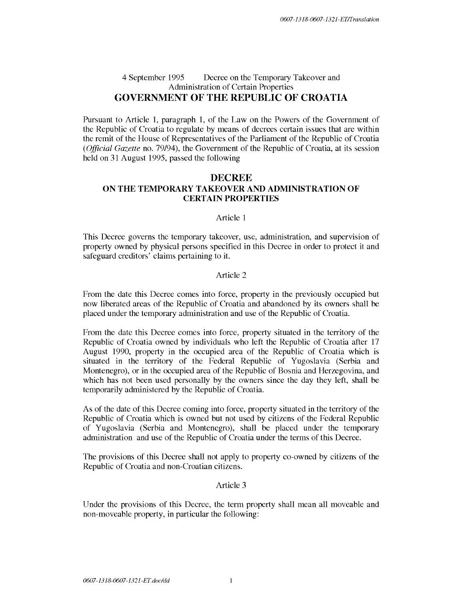# 4 September 1995 Decree on the Temporary Takeover and Administration of Certain Properties **GOVERNMENT OF THE REPUBLIC OF CROATIA**

Pursuant to Article 1, paragraph 1, of the Law on the Powers of the Government of the Republic of Croatia to regulate by means of decrees certain issues that are within the remit of the House of Representatives of the Parliament of the Republic of Croatia *(Official Gazette* no. 79/94 ), the Government of the Republic of Croatia, at its session held on 31 August 1995, passed the following

# **DECREE ON THE TEMPORARY TAKEOVER AND ADMINISTRATION OF CERTAIN PROPERTIES**

### Article 1

This Decree governs the temporary takeover, use, administration, and supervision of property owned by physical persons specified in this Decree in order to protect it and safeguard creditors' claims pertaining to it.

# Article 2

From the date this Decree comes into force, property in the previously occupied but now liberated areas of the Republic of Croatia and abandoned by its owners shall be placed under the temporary administration and use of the Republic of Croatia.

From the date this Decree comes into force, property situated in the territory of the Republic of Croatia owned by individuals who left the Republic of Croatia after 17 August 1990, property in the occupied area of the Republic of Croatia which is situated in the territory of the Federal Republic of Yugoslavia (Serbia and Montenegro), or in the occupied area of the Republic of Bosnia and Herzegovina, and which has not been used personally by the owners since the day they left, shall be temporarily administered by the Republic of Croatia.

As of the date of this Decree coming into force, property situated in the territory of the Republic of Croatia which is owned but not used by citizens of the Federal Republic of Yugoslavia (Serbia and Montenegro), shall be placed under the temporary administration and use of the Republic of Croatia under the terms of this Decree.

The provisions of this Decree shall not apply to property co-owned by citizens of the Republic of Croatia and non-Croatian citizens.

### Article 3

Under the provisions of this Decree, the term property shall mean all moveable and non-moveable property, in particular the following: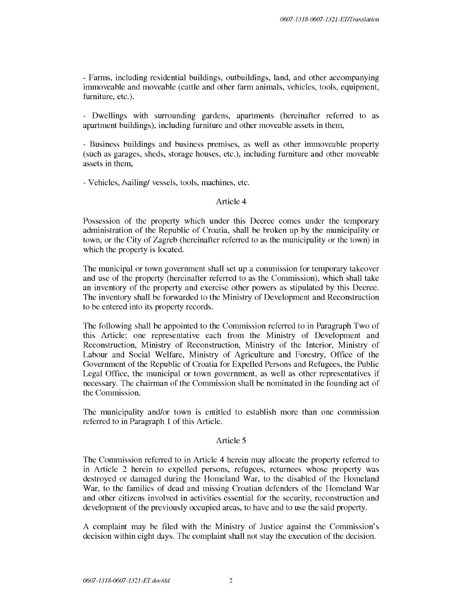- Farms, including residential buildings, outbuildings, land, and other accompanying immoveable and moveable (cattle and other farm animals, vehicles, tools, equipment, furniture, etc.).

- Dwellings with surrounding gardens, apartments (hereinafter referred to as apartment buildings), including furniture and other moveable assets in them,

- Business buildings and business premises, as well as other immoveable property (such as garages, sheds, storage houses, etc.), including furniture and other moveable assets in them,

- Vehicles, /sailing/ vessels, tools, machines, etc.

### Article 4

Possession of the property which under this Decree comes under the temporary administration of the Republic of Croatia, shall be broken up by the municipality or town, or the City of Zagreb (hereinafter referred to as the municipality or the town) in which the property is located.

The municipal or town government shall set up a commission for temporary takeover and use of the property (hereinafter referred to as the Commission), which shall take an inventory of the property and exercise other powers as stipulated by this Decree. The inventory shall be forwarded to the Ministry of Development and Reconstruction to be entered into its property records.

The following shall be appointed to the Commission referred to in Paragraph Two of this Article: one representative each from the Ministry of Development and Reconstruction, Ministry of Reconstruction, Ministry of the Interior, Ministry of Labour and Social Welfare, Ministry of Agriculture and Forestry, Office of the Government of the Republic of Croatia for Expelled Persons and Refugees, the Public Legal Office, the municipal or town government, as well as other representatives if necessary. The chairman of the Commission shall be nominated in the founding act of the Commission.

The municipality and/or town is entitled to establish more than one commission referred to in Paragraph 1 of this Article.

### Article 5

The Commission referred to in Article 4 herein may allocate the property referred to in Article 2 herein to expelled persons, refugees, returnees whose property was destroyed or damaged during the Homeland War, to the disabled of the Homeland War, to the families of dead and missing Croatian defenders of the Homeland War and other citizens involved in activities essential for the security, reconstruction and development of the previously occupied areas, to have and to use the said property.

A complaint may be filed with the Ministry of Justice against the Commission's decision within eight days. The complaint shall not stay the execution of the decision.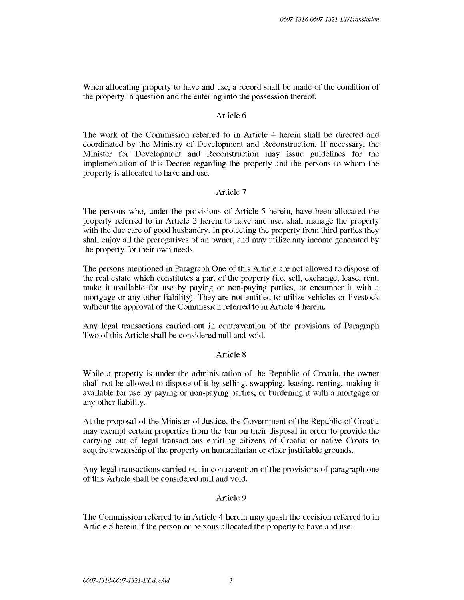When allocating property to have and use, a record shall be made of the condition of the property in question and the entering into the possession thereof.

# Article 6

The work of the Commission referred to in Article 4 herein shall be directed and coordinated by the Ministry of Development and Reconstruction. If necessary, the Minister for Development and Reconstruction may issue guidelines for the implementation of this Decree regarding the property and the persons to whom the property is allocated to have and use.

# Article 7

The persons who, under the provisions of Article 5 herein, have been allocated the property referred to in Article 2 herein to have and use, shall manage the property with the due care of good husbandry. In protecting the property from third parties they shall enjoy all the prerogatives of an owner, and may utilize any income generated by the property for their own needs.

The persons mentioned in Paragraph One of this Article are not allowed to dispose of the real estate which constitutes a part of the property (i.e. sell, exchange, lease, rent, make it available for use by paying or non-paying parties, or encumber it with a mortgage or any other liability). They are not entitled to utilize vehicles or livestock without the approval of the Commission referred to in Article 4 herein.

Any legal transactions carried out in contravention of the provisions of Paragraph Two of this Article shall be considered null and void.

# Article 8

While a property is under the administration of the Republic of Croatia, the owner shall not be allowed to dispose of it by selling, swapping, leasing, renting, making it available for use by paying or non-paying parties, or burdening it with a mortgage or any other liability.

At the proposal of the Minister of Justice, the Government of the Republic of Croatia may exempt certain properties from the ban on their disposal in order to provide the carrying out of legal transactions entitling citizens of Croatia or native Croats to acquire ownership of the property on humanitarian or other justifiable grounds.

Any legal transactions carried out in contravention of the provisions of paragraph one of this Article shall be considered null and void.

#### Article 9

The Commission referred to in Article 4 herein may quash the decision referred to in Article 5 herein if the person or persons allocated the property to have and use: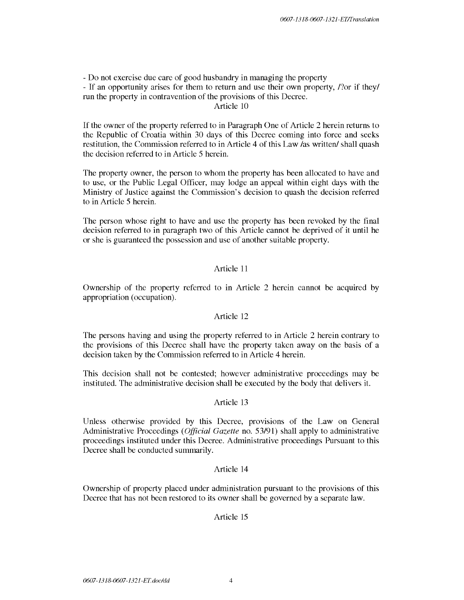- Do not exercise due care of good husbandry in managing the property

- If an opportunity arises for them to return and use their own property, /?or if they/ run the property in contravention of the provisions of this Decree.

Article 10

If the owner of the property referred to in Paragraph One of Article 2 herein returns to the Republic of Croatia within 30 days of this Decree coming into force and seeks restitution, the Commission referred to in Article 4 of this Law /as written/ shall quash the decision referred to in Article 5 herein.

The property owner, the person to whom the property has been allocated to have and to use, or the Public Legal Officer, may lodge an appeal within eight days with the Ministry of Justice against the Commission's decision to quash the decision referred to in Article 5 herein.

The person whose right to have and use the property has been revoked by the final decision referred to in paragraph two of this Article cannot be deprived of it until he or she is guaranteed the possession and use of another suitable property.

# Article 11

Ownership of the property referred to in Article 2 herein cannot be acquired by appropriation (occupation).

### Article 12

The persons having and using the property referred to in Article 2 herein contrary to the provisions of this Decree shall have the property taken away on the basis of a decision taken by the Commission referred to in Article 4 herein.

This decision shall not be contested; however administrative proceedings may be instituted. The administrative decision shall be executed by the body that delivers it.

# Article 13

Unless otherwise provided by this Decree, provisions of the Law on General Administrative Proceedings *(Official Gazette* no. 53/91) shall apply to administrative proceedings instituted under this Decree. Administrative proceedings Pursuant to this Decree shall be conducted summarily.

### Article 14

Ownership of property placed under administration pursuant to the provisions of this Decree that has not been restored to its owner shall be governed by a separate law.

# Article 15